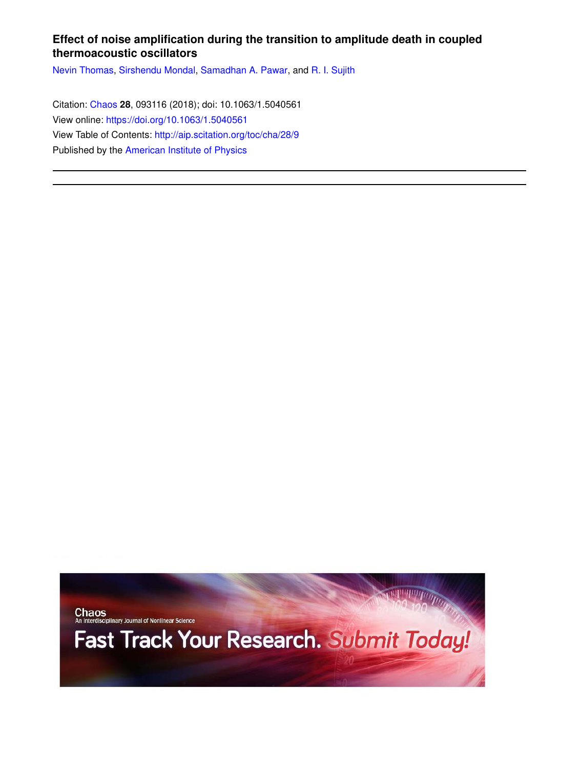### **Effect of noise amplification during the transition to amplitude death in coupled thermoacoustic oscillators**

Nevin Thomas, Sirshendu Mondal, Samadhan A. Pawar, and R. I. Sujith

Citation: Chaos **28**, 093116 (2018); doi: 10.1063/1.5040561 View online: https://doi.org/10.1063/1.5040561 View Table of Contents: http://aip.scitation.org/toc/cha/28/9 Published by the American Institute of Physics

**Chaos**<br>An Interdisciplinary Journal of Nonlinear Science Fast Track Your Research. Submit Today!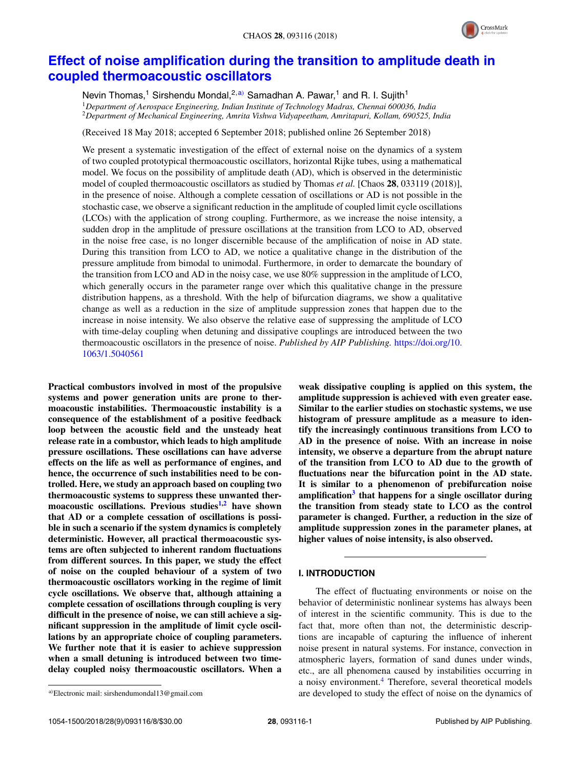

## **Effect of noise amplification during the transition to amplitude death in coupled thermoacoustic oscillators**

Nevin Thomas,<sup>1</sup> Sirshendu Mondal,<sup>2,a)</sup> Samadhan A. Pawar,<sup>1</sup> and R. I. Sujith<sup>1</sup> <sup>1</sup>*Department of Aerospace Engineering, Indian Institute of Technology Madras, Chennai 600036, India* <sup>2</sup>*Department of Mechanical Engineering, Amrita Vishwa Vidyapeetham, Amritapuri, Kollam, 690525, India*

(Received 18 May 2018; accepted 6 September 2018; published online 26 September 2018)

We present a systematic investigation of the effect of external noise on the dynamics of a system of two coupled prototypical thermoacoustic oscillators, horizontal Rijke tubes, using a mathematical model. We focus on the possibility of amplitude death (AD), which is observed in the deterministic model of coupled thermoacoustic oscillators as studied by Thomas *et al.* [Chaos **28**, 033119 (2018)], in the presence of noise. Although a complete cessation of oscillations or AD is not possible in the stochastic case, we observe a significant reduction in the amplitude of coupled limit cycle oscillations (LCOs) with the application of strong coupling. Furthermore, as we increase the noise intensity, a sudden drop in the amplitude of pressure oscillations at the transition from LCO to AD, observed in the noise free case, is no longer discernible because of the amplification of noise in AD state. During this transition from LCO to AD, we notice a qualitative change in the distribution of the pressure amplitude from bimodal to unimodal. Furthermore, in order to demarcate the boundary of the transition from LCO and AD in the noisy case, we use 80% suppression in the amplitude of LCO, which generally occurs in the parameter range over which this qualitative change in the pressure distribution happens, as a threshold. With the help of bifurcation diagrams, we show a qualitative change as well as a reduction in the size of amplitude suppression zones that happen due to the increase in noise intensity. We also observe the relative ease of suppressing the amplitude of LCO with time-delay coupling when detuning and dissipative couplings are introduced between the two thermoacoustic oscillators in the presence of noise. *Published by AIP Publishing.* https://doi.org/10. 1063/1.5040561

**Practical combustors involved in most of the propulsive systems and power generation units are prone to thermoacoustic instabilities. Thermoacoustic instability is a consequence of the establishment of a positive feedback loop between the acoustic field and the unsteady heat release rate in a combustor, which leads to high amplitude pressure oscillations. These oscillations can have adverse effects on the life as well as performance of engines, and hence, the occurrence of such instabilities need to be controlled. Here, we study an approach based on coupling two thermoacoustic systems to suppress these unwanted thermoacoustic oscillations. Previous studies1,2 have shown that AD or a complete cessation of oscillations is possible in such a scenario if the system dynamics is completely deterministic. However, all practical thermoacoustic systems are often subjected to inherent random fluctuations from different sources. In this paper, we study the effect of noise on the coupled behaviour of a system of two thermoacoustic oscillators working in the regime of limit cycle oscillations. We observe that, although attaining a complete cessation of oscillations through coupling is very difficult in the presence of noise, we can still achieve a significant suppression in the amplitude of limit cycle oscillations by an appropriate choice of coupling parameters. We further note that it is easier to achieve suppression when a small detuning is introduced between two timedelay coupled noisy thermoacoustic oscillators. When a**

**weak dissipative coupling is applied on this system, the amplitude suppression is achieved with even greater ease. Similar to the earlier studies on stochastic systems, we use histogram of pressure amplitude as a measure to identify the increasingly continuous transitions from LCO to AD in the presence of noise. With an increase in noise intensity, we observe a departure from the abrupt nature of the transition from LCO to AD due to the growth of fluctuations near the bifurcation point in the AD state. It is similar to a phenomenon of prebifurcation noise amplification<sup>3</sup> that happens for a single oscillator during the transition from steady state to LCO as the control parameter is changed. Further, a reduction in the size of amplitude suppression zones in the parameter planes, at higher values of noise intensity, is also observed.**

#### **I. INTRODUCTION**

The effect of fluctuating environments or noise on the behavior of deterministic nonlinear systems has always been of interest in the scientific community. This is due to the fact that, more often than not, the deterministic descriptions are incapable of capturing the influence of inherent noise present in natural systems. For instance, convection in atmospheric layers, formation of sand dunes under winds, etc., are all phenomena caused by instabilities occurring in a noisy environment.<sup>4</sup> Therefore, several theoretical models are developed to study the effect of noise on the dynamics of

<sup>a</sup>)Electronic mail: sirshendumondal13@gmail.com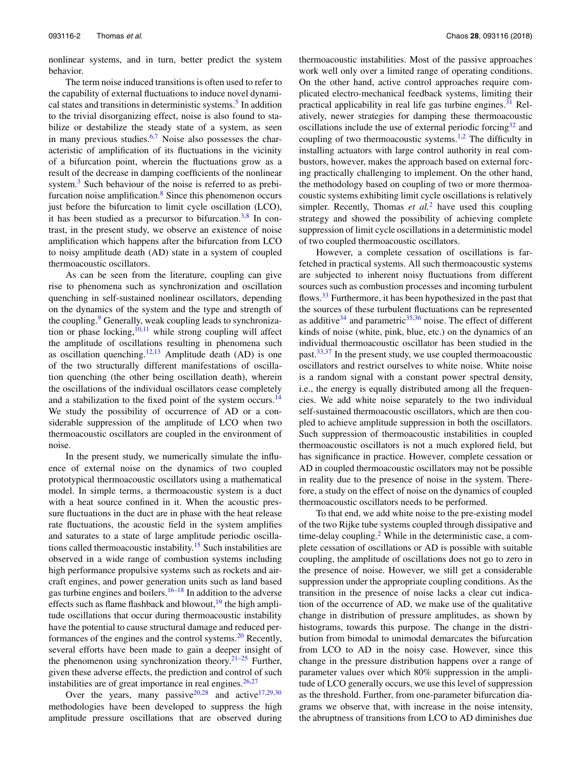nonlinear systems, and in turn, better predict the system behavior.

The term noise induced transitions is often used to refer to the capability of external fluctuations to induce novel dynamical states and transitions in deterministic systems.<sup>5</sup> In addition to the trivial disorganizing effect, noise is also found to stabilize or destabilize the steady state of a system, as seen in many previous studies. $6,7$  Noise also possesses the characteristic of amplification of its fluctuations in the vicinity of a bifurcation point, wherein the fluctuations grow as a result of the decrease in damping coefficients of the nonlinear system. $3$  Such behaviour of the noise is referred to as prebifurcation noise amplification. $8$  Since this phenomenon occurs just before the bifurcation to limit cycle oscillation (LCO), it has been studied as a precursor to bifurcation.<sup>3,8</sup> In contrast, in the present study, we observe an existence of noise amplification which happens after the bifurcation from LCO to noisy amplitude death (AD) state in a system of coupled thermoacoustic oscillators.

As can be seen from the literature, coupling can give rise to phenomena such as synchronization and oscillation quenching in self-sustained nonlinear oscillators, depending on the dynamics of the system and the type and strength of the coupling.<sup>9</sup> Generally, weak coupling leads to synchronization or phase locking,  $10,11$  while strong coupling will affect the amplitude of oscillations resulting in phenomena such as oscillation quenching. $12,13$  Amplitude death (AD) is one of the two structurally different manifestations of oscillation quenching (the other being oscillation death), wherein the oscillations of the individual oscillators cease completely and a stabilization to the fixed point of the system occurs.<sup>14</sup> We study the possibility of occurrence of AD or a considerable suppression of the amplitude of LCO when two thermoacoustic oscillators are coupled in the environment of noise.

In the present study, we numerically simulate the influence of external noise on the dynamics of two coupled prototypical thermoacoustic oscillators using a mathematical model. In simple terms, a thermoacoustic system is a duct with a heat source confined in it. When the acoustic pressure fluctuations in the duct are in phase with the heat release rate fluctuations, the acoustic field in the system amplifies and saturates to a state of large amplitude periodic oscillations called thermoacoustic instability.<sup>15</sup> Such instabilities are observed in a wide range of combustion systems including high performance propulsive systems such as rockets and aircraft engines, and power generation units such as land based gas turbine engines and boilers. $16-18$  In addition to the adverse effects such as flame flashback and blowout, $19$  the high amplitude oscillations that occur during thermoacoustic instability have the potential to cause structural damage and reduced performances of the engines and the control systems. $^{20}$  Recently, several efforts have been made to gain a deeper insight of the phenomenon using synchronization theory. $21-25$  Further, given these adverse effects, the prediction and control of such instabilities are of great importance in real engines. $26,27$ 

Over the years, many passive $20,28$  and active<sup>17,29,30</sup> methodologies have been developed to suppress the high amplitude pressure oscillations that are observed during thermoacoustic instabilities. Most of the passive approaches work well only over a limited range of operating conditions. On the other hand, active control approaches require complicated electro-mechanical feedback systems, limiting their practical applicability in real life gas turbine engines. $31$  Relatively, newer strategies for damping these thermoacoustic oscillations include the use of external periodic forcing $32$  and coupling of two thermoacoustic systems.<sup>1,2</sup> The difficulty in installing actuators with large control authority in real combustors, however, makes the approach based on external forcing practically challenging to implement. On the other hand, the methodology based on coupling of two or more thermoacoustic systems exhibiting limit cycle oscillations is relatively simpler. Recently, Thomas *et al.*<sup>2</sup> have used this coupling strategy and showed the possibility of achieving complete suppression of limit cycle oscillations in a deterministic model of two coupled thermoacoustic oscillators.

However, a complete cessation of oscillations is farfetched in practical systems. All such thermoacoustic systems are subjected to inherent noisy fluctuations from different sources such as combustion processes and incoming turbulent flows.<sup>33</sup> Furthermore, it has been hypothesized in the past that the sources of these turbulent fluctuations can be represented as additive $34$  and parametric $35,36$  noise. The effect of different kinds of noise (white, pink, blue, etc.) on the dynamics of an individual thermoacoustic oscillator has been studied in the past.<sup>33,37</sup> In the present study, we use coupled thermoacoustic oscillators and restrict ourselves to white noise. White noise is a random signal with a constant power spectral density, i.e., the energy is equally distributed among all the frequencies. We add white noise separately to the two individual self-sustained thermoacoustic oscillators, which are then coupled to achieve amplitude suppression in both the oscillators. Such suppression of thermoacoustic instabilities in coupled thermoacoustic oscillators is not a much explored field, but has significance in practice. However, complete cessation or AD in coupled thermoacoustic oscillators may not be possible in reality due to the presence of noise in the system. Therefore, a study on the effect of noise on the dynamics of coupled thermoacoustic oscillators needs to be performed.

To that end, we add white noise to the pre-existing model of the two Rijke tube systems coupled through dissipative and time-delay coupling.<sup>2</sup> While in the deterministic case, a complete cessation of oscillations or AD is possible with suitable coupling, the amplitude of oscillations does not go to zero in the presence of noise. However, we still get a considerable suppression under the appropriate coupling conditions. As the transition in the presence of noise lacks a clear cut indication of the occurrence of AD, we make use of the qualitative change in distribution of pressure amplitudes, as shown by histograms, towards this purpose. The change in the distribution from bimodal to unimodal demarcates the bifurcation from LCO to AD in the noisy case. However, since this change in the pressure distribution happens over a range of parameter values over which 80% suppression in the amplitude of LCO generally occurs, we use this level of suppression as the threshold. Further, from one-parameter bifurcation diagrams we observe that, with increase in the noise intensity, the abruptness of transitions from LCO to AD diminishes due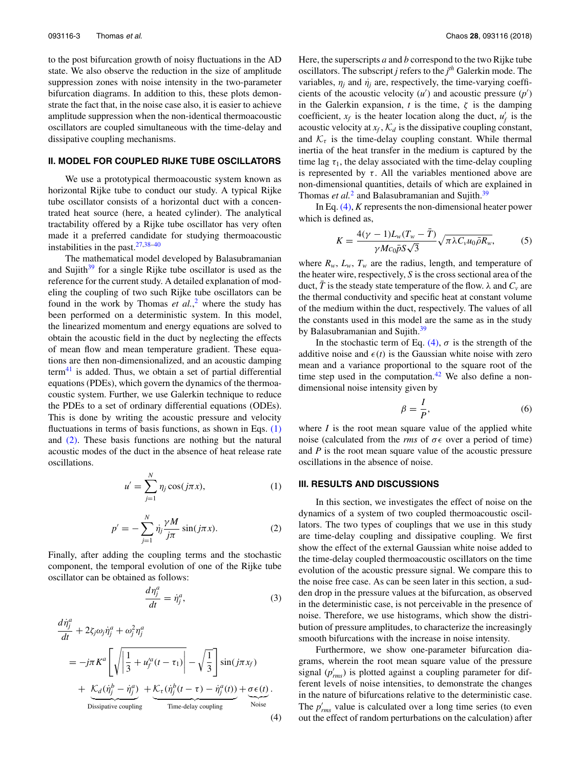to the post bifurcation growth of noisy fluctuations in the AD state. We also observe the reduction in the size of amplitude suppression zones with noise intensity in the two-parameter bifurcation diagrams. In addition to this, these plots demonstrate the fact that, in the noise case also, it is easier to achieve amplitude suppression when the non-identical thermoacoustic oscillators are coupled simultaneous with the time-delay and dissipative coupling mechanisms.

#### **II. MODEL FOR COUPLED RIJKE TUBE OSCILLATORS**

We use a prototypical thermoacoustic system known as horizontal Rijke tube to conduct our study. A typical Rijke tube oscillator consists of a horizontal duct with a concentrated heat source (here, a heated cylinder). The analytical tractability offered by a Rijke tube oscillator has very often made it a preferred candidate for studying thermoacoustic instabilities in the past. $27,38-40$ 

The mathematical model developed by Balasubramanian and Sujith $39$  for a single Rijke tube oscillator is used as the reference for the current study. A detailed explanation of modeling the coupling of two such Rijke tube oscillators can be found in the work by Thomas *et al.*, <sup>2</sup> where the study has been performed on a deterministic system. In this model, the linearized momentum and energy equations are solved to obtain the acoustic field in the duct by neglecting the effects of mean flow and mean temperature gradient. These equations are then non-dimensionalized, and an acoustic damping  $term<sup>41</sup>$  is added. Thus, we obtain a set of partial differential equations (PDEs), which govern the dynamics of the thermoacoustic system. Further, we use Galerkin technique to reduce the PDEs to a set of ordinary differential equations (ODEs). This is done by writing the acoustic pressure and velocity fluctuations in terms of basis functions, as shown in Eqs. (1) and (2). These basis functions are nothing but the natural acoustic modes of the duct in the absence of heat release rate oscillations.

$$
u' = \sum_{j=1}^{N} \eta_j \cos(j\pi x),
$$
 (1)

$$
p' = -\sum_{j=1}^{N} \dot{\eta}_j \frac{\gamma M}{j\pi} \sin(j\pi x). \tag{2}
$$

Finally, after adding the coupling terms and the stochastic component, the temporal evolution of one of the Rijke tube oscillator can be obtained as follows:

$$
\frac{d\eta_j^a}{dt} = \dot{\eta}_j^a,\tag{3}
$$

$$
\frac{d\dot{\eta}_j^a}{dt} + 2\zeta_j \omega_j \dot{\eta}_j^a + \omega_j^2 \eta_j^a
$$
\n
$$
= -j\pi K^a \left[ \sqrt{\left| \frac{1}{3} + u_j^{\prime a}(t - \tau_1) \right|} - \sqrt{\frac{1}{3}} \right] \sin(j\pi x_f)
$$
\n
$$
+ \underbrace{\mathcal{K}_d(\dot{\eta}_j^b - \dot{\eta}_j^a)}_{\text{Dissipative coupling}} + \underbrace{\mathcal{K}_\tau(\dot{\eta}_j^b(t - \tau) - \dot{\eta}_j^a(t))}_{\text{Time-delay coupling}} + \underbrace{\sigma \epsilon(t)}_{\text{Noise}}.
$$
\n(4)

Here, the superscripts *a* and *b* correspond to the two Rijke tube oscillators. The subscript *j* refers to the *j th* Galerkin mode. The variables,  $\eta_i$  and  $\dot{\eta}_i$  are, respectively, the time-varying coefficients of the acoustic velocity  $(u')$  and acoustic pressure  $(p')$ in the Galerkin expansion,  $t$  is the time,  $\zeta$  is the damping coefficient,  $x_f$  is the heater location along the duct,  $u'_f$  is the acoustic velocity at  $x_f$ ,  $\mathcal{K}_d$  is the dissipative coupling constant, and  $K_{\tau}$  is the time-delay coupling constant. While thermal inertia of the heat transfer in the medium is captured by the time lag  $\tau_1$ , the delay associated with the time-delay coupling is represented by  $\tau$ . All the variables mentioned above are non-dimensional quantities, details of which are explained in Thomas et al.<sup>2</sup> and Balasubramanian and Sujith.<sup>39</sup>

In Eq. (4), *K* represents the non-dimensional heater power which is defined as,

$$
K = \frac{4(\gamma - 1)L_w(T_w - \bar{T})}{\gamma Mc_0 \bar{p} S \sqrt{3}} \sqrt{\pi \lambda C_v u_0 \bar{\rho} R_w},
$$
(5)

where  $R_w$ ,  $L_w$ ,  $T_w$  are the radius, length, and temperature of the heater wire, respectively, *S* is the cross sectional area of the duct,  $\overline{T}$  is the steady state temperature of the flow.  $\lambda$  and  $C_\nu$  are the thermal conductivity and specific heat at constant volume of the medium within the duct, respectively. The values of all the constants used in this model are the same as in the study by Balasubramanian and Sujith.<sup>39</sup>

In the stochastic term of Eq. (4),  $\sigma$  is the strength of the additive noise and  $\epsilon(t)$  is the Gaussian white noise with zero mean and a variance proportional to the square root of the time step used in the computation.<sup>42</sup> We also define a nondimensional noise intensity given by

$$
\beta = \frac{I}{P},\tag{6}
$$

where *I* is the root mean square value of the applied white noise (calculated from the *rms* of  $\sigma \in \sigma$  over a period of time) and *P* is the root mean square value of the acoustic pressure oscillations in the absence of noise.

#### **III. RESULTS AND DISCUSSIONS**

In this section, we investigates the effect of noise on the dynamics of a system of two coupled thermoacoustic oscillators. The two types of couplings that we use in this study are time-delay coupling and dissipative coupling. We first show the effect of the external Gaussian white noise added to the time-delay coupled thermoacoustic oscillators on the time evolution of the acoustic pressure signal. We compare this to the noise free case. As can be seen later in this section, a sudden drop in the pressure values at the bifurcation, as observed in the deterministic case, is not perceivable in the presence of noise. Therefore, we use histograms, which show the distribution of pressure amplitudes, to characterize the increasingly smooth bifurcations with the increase in noise intensity.

Furthermore, we show one-parameter bifurcation diagrams, wherein the root mean square value of the pressure signal  $(p'_{rms})$  is plotted against a coupling parameter for different levels of noise intensities, to demonstrate the changes in the nature of bifurcations relative to the deterministic case. The  $p'_{rms}$  value is calculated over a long time series (to even out the effect of random perturbations on the calculation) after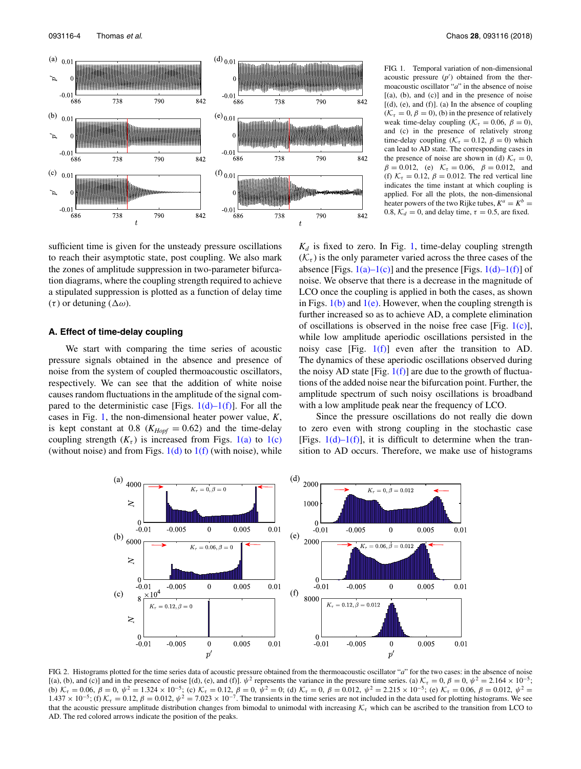

FIG. 1. Temporal variation of non-dimensional acoustic pressure  $(p')$  obtained from the thermoacoustic oscillator "*a*" in the absence of noise  $[(a), (b), and (c)]$  and in the presence of noise  $[(d), (e),$  and  $(f)]$ . (a) In the absence of coupling  $(K<sub>\tau</sub> = 0, \beta = 0)$ , (b) in the presence of relatively weak time-delay coupling ( $K_{\tau} = 0.06, \ \beta = 0$ ), and (c) in the presence of relatively strong time-delay coupling ( $K_{\tau} = 0.12$ ,  $\beta = 0$ ) which can lead to AD state. The corresponding cases in the presence of noise are shown in (d)  $K<sub>\tau</sub> = 0$ ,  $\beta = 0.012$ , (e)  $\mathcal{K}_{\tau} = 0.06$ ,  $\beta = 0.012$ , and (f)  $K_{\tau} = 0.12$ ,  $\beta = 0.012$ . The red vertical line indicates the time instant at which coupling is applied. For all the plots, the non-dimensional heater powers of the two Rijke tubes,  $K^a = K^b$ 0.8,  $\mathcal{K}_d = 0$ , and delay time,  $\tau = 0.5$ , are fixed.

sufficient time is given for the unsteady pressure oscillations to reach their asymptotic state, post coupling. We also mark the zones of amplitude suppression in two-parameter bifurcation diagrams, where the coupling strength required to achieve a stipulated suppression is plotted as a function of delay time

### **A. Effect of time-delay coupling**

(τ) or detuning ( $Δω$ ).

We start with comparing the time series of acoustic pressure signals obtained in the absence and presence of noise from the system of coupled thermoacoustic oscillators, respectively. We can see that the addition of white noise causes random fluctuations in the amplitude of the signal compared to the deterministic case [Figs.  $1(d)$ – $1(f)$ ]. For all the cases in Fig. 1, the non-dimensional heater power value, *K*, is kept constant at 0.8 ( $K_{Hopf} = 0.62$ ) and the time-delay coupling strength  $(K_{\tau})$  is increased from Figs. 1(a) to 1(c) (without noise) and from Figs.  $1(d)$  to  $1(f)$  (with noise), while  $K_d$  is fixed to zero. In Fig. 1, time-delay coupling strength  $(\mathcal{K}_{\tau})$  is the only parameter varied across the three cases of the absence [Figs.  $1(a)-1(c)$ ] and the presence [Figs.  $1(d)-1(f)$ ] of noise. We observe that there is a decrease in the magnitude of LCO once the coupling is applied in both the cases, as shown in Figs.  $1(b)$  and  $1(e)$ . However, when the coupling strength is further increased so as to achieve AD, a complete elimination of oscillations is observed in the noise free case [Fig.  $1(c)$ ], while low amplitude aperiodic oscillations persisted in the noisy case [Fig.  $1(f)$ ] even after the transition to AD. The dynamics of these aperiodic oscillations observed during the noisy AD state [Fig.  $1(f)$ ] are due to the growth of fluctuations of the added noise near the bifurcation point. Further, the amplitude spectrum of such noisy oscillations is broadband with a low amplitude peak near the frequency of LCO.

Since the pressure oscillations do not really die down to zero even with strong coupling in the stochastic case [Figs.  $1(d) - 1(f)$ ], it is difficult to determine when the transition to AD occurs. Therefore, we make use of histograms



FIG. 2. Histograms plotted for the time series data of acoustic pressure obtained from the thermoacoustic oscillator "*a*" for the two cases: in the absence of noise [(a), (b), and (c)] and in the presence of noise [(d), (e), and (f)].  $\psi^2$  represents the variance in the pressure time series. (a)  $\mathcal{K}_{\tau} = 0$ ,  $\beta = 0$ ,  $\psi^2 = 2.164 \times 10^{-5}$ ; (b)  $K_{\tau} = 0.06$ ,  $\beta = 0$ ,  $\psi^2 = 1.324 \times 10^{-5}$ ; (c)  $K_{\tau} = 0.12$ ,  $\beta = 0$ ,  $\psi^2 = 0$ ; (d)  $K_{\tau} = 0$ ,  $\beta = 0.012$ ,  $\psi^2 = 2.215 \times 10^{-5}$ ; (e)  $K_{\tau} = 0.06$ ,  $\beta = 0.012$ ,  $\psi^2 = 0.012$  $1.437 \times 10^{-5}$ ; (f)  $K_{\tau} = 0.12$ ,  $\beta = 0.012$ ,  $\psi^2 = 7.023 \times 10^{-7}$ . The transients in the time series are not included in the data used for plotting histograms. We see that the acoustic pressure amplitude distribution changes from bimodal to unimodal with increasing  $K<sub>\tau</sub>$  which can be ascribed to the transition from LCO to AD. The red colored arrows indicate the position of the peaks.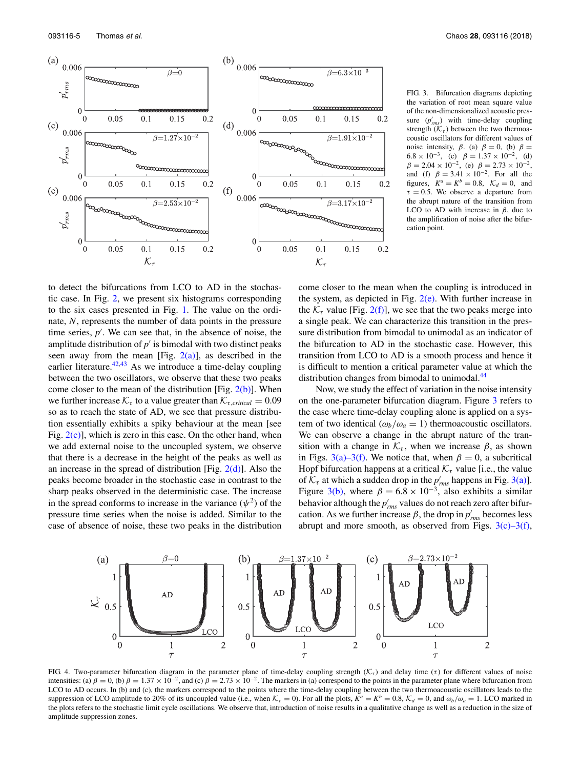

FIG. 3. Bifurcation diagrams depicting the variation of root mean square value of the non-dimensionalized acoustic pressure  $(p'_{rms})$  with time-delay coupling strength  $(K_{\tau})$  between the two thermoacoustic oscillators for different values of noise intensity,  $\beta$ . (a)  $\beta = 0$ , (b)  $\beta =$ 6.8 × 10<sup>-3</sup>, (c)  $\beta = 1.37 \times 10^{-2}$ , (d)  $\beta = 2.04 \times 10^{-2}$ , (e)  $\beta = 2.73 \times 10^{-2}$ , and (f)  $\beta = 3.41 \times 10^{-2}$ . For all the figures,  $K^a = K^b = 0.8$ ,  $K_d = 0$ , and  $\tau = 0.5$ . We observe a departure from the abrupt nature of the transition from LCO to AD with increase in  $\beta$ , due to the amplification of noise after the bifurcation point.

to detect the bifurcations from LCO to AD in the stochastic case. In Fig. 2, we present six histograms corresponding to the six cases presented in Fig. 1. The value on the ordinate, *N*, represents the number of data points in the pressure time series, *p* ′ . We can see that, in the absence of noise, the amplitude distribution of  $p'$  is bimodal with two distinct peaks seen away from the mean [Fig.  $2(a)$ ], as described in the earlier literature.<sup>42,43</sup> As we introduce a time-delay coupling between the two oscillators, we observe that these two peaks come closer to the mean of the distribution [Fig.  $2(b)$ ]. When we further increase  $K_{\tau}$  to a value greater than  $K_{\tau, critical} = 0.09$ so as to reach the state of AD, we see that pressure distribution essentially exhibits a spiky behaviour at the mean [see Fig.  $2(c)$ , which is zero in this case. On the other hand, when we add external noise to the uncoupled system, we observe that there is a decrease in the height of the peaks as well as an increase in the spread of distribution [Fig.  $2(d)$ ]. Also the peaks become broader in the stochastic case in contrast to the sharp peaks observed in the deterministic case. The increase in the spread conforms to increase in the variance  $(\psi^2)$  of the pressure time series when the noise is added. Similar to the case of absence of noise, these two peaks in the distribution come closer to the mean when the coupling is introduced in the system, as depicted in Fig.  $2(e)$ . With further increase in the  $K_{\tau}$  value [Fig. 2(f)], we see that the two peaks merge into a single peak. We can characterize this transition in the pressure distribution from bimodal to unimodal as an indicator of the bifurcation to AD in the stochastic case. However, this transition from LCO to AD is a smooth process and hence it is difficult to mention a critical parameter value at which the distribution changes from bimodal to unimodal.<sup>44</sup>

Now, we study the effect of variation in the noise intensity on the one-parameter bifurcation diagram. Figure 3 refers to the case where time-delay coupling alone is applied on a system of two identical  $(\omega_b/\omega_a = 1)$  thermoacoustic oscillators. We can observe a change in the abrupt nature of the transition with a change in  $\mathcal{K}_{\tau}$ , when we increase  $\beta$ , as shown in Figs. 3(a)–3(f). We notice that, when  $\beta = 0$ , a subcritical Hopf bifurcation happens at a critical  $K_{\tau}$  value [i.e., the value of  $K_{\tau}$  at which a sudden drop in the  $p'_{rms}$  happens in Fig. 3(a)]. Figure 3(b), where  $\beta = 6.8 \times 10^{-3}$ , also exhibits a similar behavior although the *p* ′ *rms* values do not reach zero after bifurcation. As we further increase  $\beta$ , the drop in  $p'_{rms}$  becomes less abrupt and more smooth, as observed from Figs.  $3(c)$ – $3(f)$ ,



FIG. 4. Two-parameter bifurcation diagram in the parameter plane of time-delay coupling strength ( $K_{\tau}$ ) and delay time (τ) for different values of noise intensities: (a)  $\beta = 0$ , (b)  $\beta = 1.37 \times 10^{-2}$ , and (c)  $\beta = 2.73 \times 10^{-2}$ . The markers in (a) correspond to the points in the parameter plane where bifurcation from LCO to AD occurs. In (b) and (c), the markers correspond to the points where the time-delay coupling between the two thermoacoustic oscillators leads to the suppression of LCO amplitude to 20% of its uncoupled value (i.e., when  $K_{\tau} = 0$ ). For all the plots,  $K^a = K^b = 0.8$ ,  $K_d = 0$ , and  $\omega_b/\omega_a = 1$ . LCO marked in the plots refers to the stochastic limit cycle oscillations. We observe that, introduction of noise results in a qualitative change as well as a reduction in the size of amplitude suppression zones.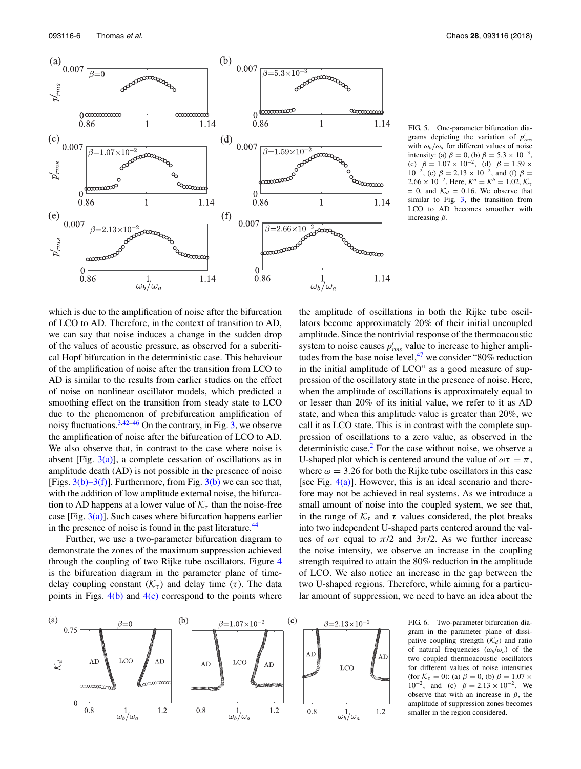

which is due to the amplification of noise after the bifurcation of LCO to AD. Therefore, in the context of transition to AD, we can say that noise induces a change in the sudden drop of the values of acoustic pressure, as observed for a subcritical Hopf bifurcation in the deterministic case. This behaviour of the amplification of noise after the transition from LCO to AD is similar to the results from earlier studies on the effect of noise on nonlinear oscillator models, which predicted a smoothing effect on the transition from steady state to LCO due to the phenomenon of prebifurcation amplification of noisy fluctuations.<sup>3,42–46</sup> On the contrary, in Fig. 3, we observe the amplification of noise after the bifurcation of LCO to AD. We also observe that, in contrast to the case where noise is absent [Fig.  $3(a)$ ], a complete cessation of oscillations as in amplitude death (AD) is not possible in the presence of noise [Figs.  $3(b)$ –3(f)]. Furthermore, from Fig.  $3(b)$  we can see that, with the addition of low amplitude external noise, the bifurcation to AD happens at a lower value of  $\mathcal{K}_{\tau}$  than the noise-free case [Fig.  $3(a)$ ]. Such cases where bifurcation happens earlier in the presence of noise is found in the past literature. $44$ 

Further, we use a two-parameter bifurcation diagram to demonstrate the zones of the maximum suppression achieved through the coupling of two Rijke tube oscillators. Figure 4 is the bifurcation diagram in the parameter plane of timedelay coupling constant  $(\mathcal{K}_{\tau})$  and delay time  $(\tau)$ . The data points in Figs.  $4(b)$  and  $4(c)$  correspond to the points where FIG. 5. One-parameter bifurcation diagrams depicting the variation of  $p'_{rms}$ with  $\omega_b/\omega_a$  for different values of noise intensity: (a)  $\beta = 0$ , (b)  $\beta = 5.3 \times 10^{-3}$ , (c)  $\beta = 1.07 \times 10^{-2}$ , (d)  $\beta = 1.59 \times 10^{-2}$ 10<sup>-2</sup>, (e)  $\beta = 2.13 \times 10^{-2}$ , and (f)  $\beta =$  $2.66 \times 10^{-2}$ . Here,  $K^a = K^b = 1.02$ ,  $K_{\tau}$  $= 0$ , and  $K_d = 0.16$ . We observe that similar to Fig.  $3$ , the transition from LCO to AD becomes smoother with increasing  $\beta$ .

the amplitude of oscillations in both the Rijke tube oscillators become approximately 20% of their initial uncoupled amplitude. Since the nontrivial response of the thermoacoustic system to noise causes  $p'_{rms}$  value to increase to higher amplitudes from the base noise level,  $47$  we consider "80% reduction in the initial amplitude of LCO" as a good measure of suppression of the oscillatory state in the presence of noise. Here, when the amplitude of oscillations is approximately equal to or lesser than 20% of its initial value, we refer to it as AD state, and when this amplitude value is greater than 20%, we call it as LCO state. This is in contrast with the complete suppression of oscillations to a zero value, as observed in the deterministic case. $<sup>2</sup>$  For the case without noise, we observe a</sup> U-shaped plot which is centered around the value of  $\omega \tau = \pi$ , where  $\omega = 3.26$  for both the Rijke tube oscillators in this case [see Fig.  $4(a)$ ]. However, this is an ideal scenario and therefore may not be achieved in real systems. As we introduce a small amount of noise into the coupled system, we see that, in the range of  $K_{\tau}$  and  $\tau$  values considered, the plot breaks into two independent U-shaped parts centered around the values of  $\omega\tau$  equal to  $\pi/2$  and  $3\pi/2$ . As we further increase the noise intensity, we observe an increase in the coupling strength required to attain the 80% reduction in the amplitude of LCO. We also notice an increase in the gap between the two U-shaped regions. Therefore, while aiming for a particular amount of suppression, we need to have an idea about the



FIG. 6. Two-parameter bifurcation diagram in the parameter plane of dissipative coupling strength  $(\mathcal{K}_d)$  and ratio of natural frequencies  $(\omega_b/\omega_a)$  of the two coupled thermoacoustic oscillators for different values of noise intensities (for  $\mathcal{K}_{\tau} = 0$ ): (a)  $\beta = 0$ , (b)  $\beta = 1.07 \times$ 10<sup>-2</sup>, and (c)  $\beta = 2.13 \times 10^{-2}$ . We observe that with an increase in  $\beta$ , the amplitude of suppression zones becomes smaller in the region considered.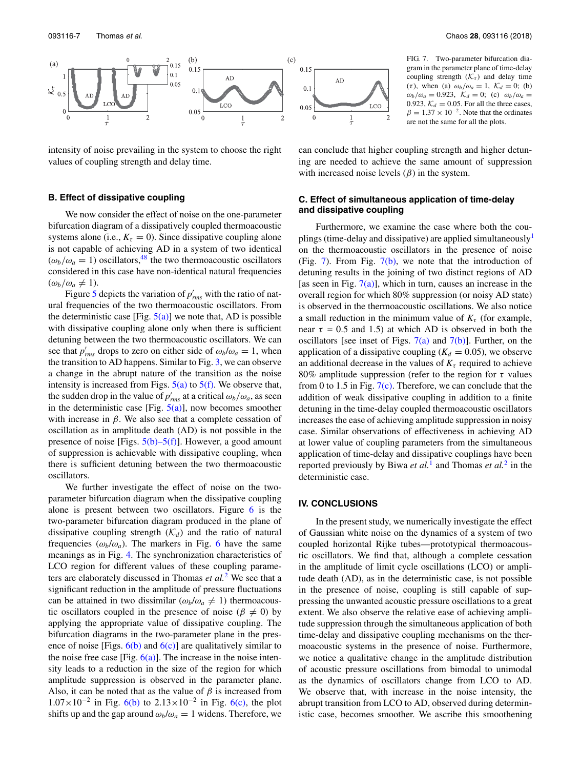

FIG. 7. Two-parameter bifurcation diagram in the parameter plane of time-delay coupling strength  $(\mathcal{K}_{\tau})$  and delay time (τ), when (a)  $\omega_b/\omega_a = 1$ ,  $\mathcal{K}_d = 0$ ; (b)  $\omega_b/\omega_a = 0.923$ ,  $\mathcal{K}_d = 0$ ; (c)  $\omega_b/\omega_a =$ 0.923,  $K_d = 0.05$ . For all the three cases,  $\beta = 1.37 \times 10^{-2}$ . Note that the ordinates are not the same for all the plots.



 $\overline{c}$ 

# **B. Effect of dissipative coupling**

We now consider the effect of noise on the one-parameter bifurcation diagram of a dissipatively coupled thermoacoustic systems alone (i.e.,  $K_{\tau} = 0$ ). Since dissipative coupling alone is not capable of achieving AD in a system of two identical  $(\omega_b/\omega_a = 1)$  oscillators, <sup>48</sup> the two thermoacoustic oscillators considered in this case have non-identical natural frequencies  $(\omega_b/\omega_a \neq 1).$ 

intensity of noise prevailing in the system to choose the right

values of coupling strength and delay time.

Figure 5 depicts the variation of  $p'_{rms}$  with the ratio of natural frequencies of the two thermoacoustic oscillators. From the deterministic case [Fig.  $5(a)$ ] we note that, AD is possible with dissipative coupling alone only when there is sufficient detuning between the two thermoacoustic oscillators. We can see that  $p'_{rms}$  drops to zero on either side of  $\omega_b/\omega_a = 1$ , when the transition to AD happens. Similar to Fig. 3, we can observe a change in the abrupt nature of the transition as the noise intensity is increased from Figs.  $5(a)$  to  $5(f)$ . We observe that, the sudden drop in the value of  $p'_{rms}$  at a critical  $\omega_b/\omega_a$ , as seen in the deterministic case [Fig.  $5(a)$ ], now becomes smoother with increase in  $\beta$ . We also see that a complete cessation of oscillation as in amplitude death (AD) is not possible in the presence of noise [Figs.  $5(b)$ – $5(f)$ ]. However, a good amount of suppression is achievable with dissipative coupling, when there is sufficient detuning between the two thermoacoustic oscillators.

We further investigate the effect of noise on the twoparameter bifurcation diagram when the dissipative coupling alone is present between two oscillators. Figure 6 is the two-parameter bifurcation diagram produced in the plane of dissipative coupling strength  $(\mathcal{K}_d)$  and the ratio of natural frequencies  $(\omega_b/\omega_a)$ . The markers in Fig. 6 have the same meanings as in Fig. 4. The synchronization characteristics of LCO region for different values of these coupling parameters are elaborately discussed in Thomas *et al.*<sup>2</sup> We see that a significant reduction in the amplitude of pressure fluctuations can be attained in two dissimilar ( $\omega_b/\omega_a \neq 1$ ) thermoacoustic oscillators coupled in the presence of noise ( $\beta \neq 0$ ) by applying the appropriate value of dissipative coupling. The bifurcation diagrams in the two-parameter plane in the presence of noise [Figs.  $6(b)$  and  $6(c)$ ] are qualitatively similar to the noise free case [Fig.  $6(a)$ ]. The increase in the noise intensity leads to a reduction in the size of the region for which amplitude suppression is observed in the parameter plane. Also, it can be noted that as the value of  $\beta$  is increased from  $1.07 \times 10^{-2}$  in Fig. 6(b) to  $2.13 \times 10^{-2}$  in Fig. 6(c), the plot shifts up and the gap around  $\omega_b/\omega_a = 1$  widens. Therefore, we

**C. Effect of simultaneous application of time-delay and dissipative coupling**

Furthermore, we examine the case where both the couplings (time-delay and dissipative) are applied simultaneously<sup>1</sup> on the thermoacoustic oscillators in the presence of noise (Fig. 7). From Fig.  $7(b)$ , we note that the introduction of detuning results in the joining of two distinct regions of AD [as seen in Fig.  $7(a)$ ], which in turn, causes an increase in the overall region for which 80% suppression (or noisy AD state) is observed in the thermoacoustic oscillations. We also notice a small reduction in the minimum value of  $K<sub>τ</sub>$  (for example, near  $\tau = 0.5$  and 1.5) at which AD is observed in both the oscillators [see inset of Figs.  $7(a)$  and  $7(b)$ ]. Further, on the application of a dissipative coupling ( $K_d$  = 0.05), we observe an additional decrease in the values of  $K<sub>\tau</sub>$  required to achieve 80% amplitude suppression (refer to the region for  $\tau$  values from 0 to 1.5 in Fig.  $7(c)$ . Therefore, we can conclude that the addition of weak dissipative coupling in addition to a finite detuning in the time-delay coupled thermoacoustic oscillators increases the ease of achieving amplitude suppression in noisy case. Similar observations of effectiveness in achieving AD at lower value of coupling parameters from the simultaneous application of time-delay and dissipative couplings have been reported previously by Biwa *et al*.<sup>1</sup> and Thomas *et al*.<sup>2</sup> in the deterministic case.

#### **IV. CONCLUSIONS**

In the present study, we numerically investigate the effect of Gaussian white noise on the dynamics of a system of two coupled horizontal Rijke tubes—prototypical thermoacoustic oscillators. We find that, although a complete cessation in the amplitude of limit cycle oscillations (LCO) or amplitude death (AD), as in the deterministic case, is not possible in the presence of noise, coupling is still capable of suppressing the unwanted acoustic pressure oscillations to a great extent. We also observe the relative ease of achieving amplitude suppression through the simultaneous application of both time-delay and dissipative coupling mechanisms on the thermoacoustic systems in the presence of noise. Furthermore, we notice a qualitative change in the amplitude distribution of acoustic pressure oscillations from bimodal to unimodal as the dynamics of oscillators change from LCO to AD. We observe that, with increase in the noise intensity, the abrupt transition from LCO to AD, observed during deterministic case, becomes smoother. We ascribe this smoothening